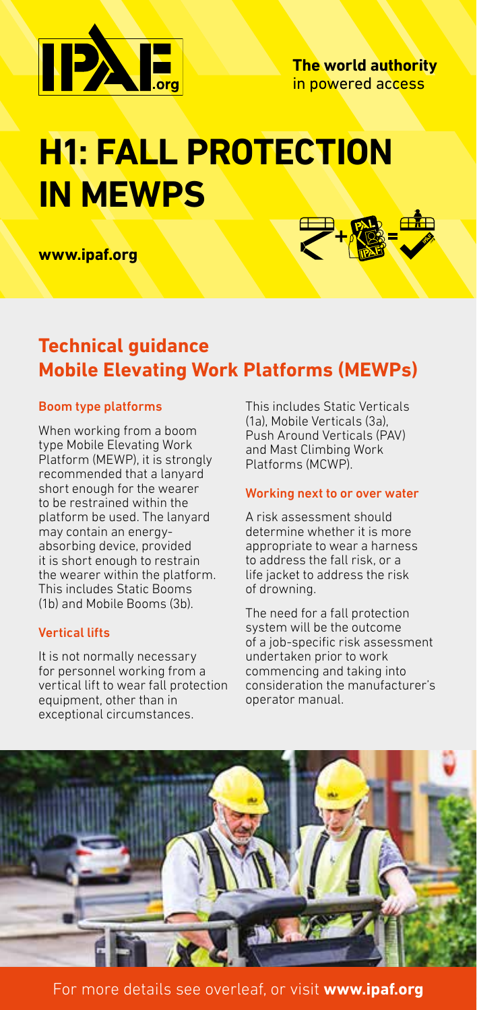

# **H1: FALL PROTECTION IN MEWPS**

**www.ipaf.org**



## **Technical guidance Mobile Elevating Work Platforms (MEWPs)**

#### Boom type platforms

When working from a boom type Mobile Elevating Work Platform (MEWP), it is strongly recommended that a lanyard short enough for the wearer to be restrained within the platform be used. The lanyard may contain an energyabsorbing device, provided it is short enough to restrain the wearer within the platform. This includes Static Booms (1b) and Mobile Booms (3b).

### Vertical lifts

It is not normally necessary for personnel working from a vertical lift to wear fall protection equipment, other than in exceptional circumstances.

This includes Static Verticals (1a), Mobile Verticals (3a), Push Around Verticals (PAV) and Mast Climbing Work Platforms (MCWP).

#### Working next to or over water

A risk assessment should determine whether it is more appropriate to wear a harness to address the fall risk, or a life jacket to address the risk of drowning.

The need for a fall protection system will be the outcome of a job-specific risk assessment undertaken prior to work commencing and taking into consideration the manufacturer's operator manual.



For more details see overleaf, or visit **www.ipaf.org**